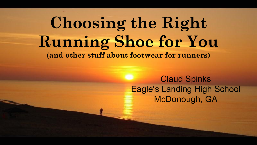#### **Choosing the Right Running Shoe for You (and other stuff about footwear for runners)**

Claud Spinks Eagle's Landing High School McDonough, GA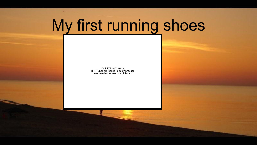## My first running shoes

QuickTime"" and a<br>TIFF (Uncompressed) decompressor<br>are needed to see this picture.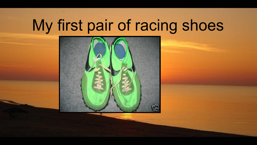#### My first pair of racing shoes

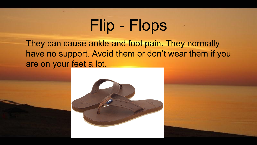### Flip - Flops

They can cause ankle and foot pain. They normally have no support. Avoid them or don't wear them if you are on your feet a lot.



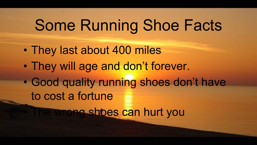#### Some Running Shoe Facts

- They last about 400 miles
- They will age and don't forever.
- Good quality running shoes don't have to cost a fortune

The wrong shoes can hurt you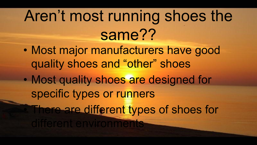## Aren't most running shoes the same??

- Most major manufacturers have good quality shoes and "other" shoes
- Most quality shoes are designed for specific types or runners
	- There are different types of shoes for
	- environme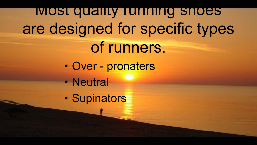Most quality running shoes are designed for specific types of runners.

- Over pronaters
- Neutral
- Supinators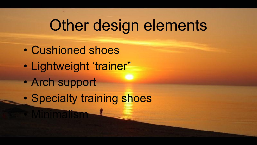## Other design elements

- Cushioned shoes
- Lightweight 'trainer"
- Arch support

• Minimalism

• Specialty training shoes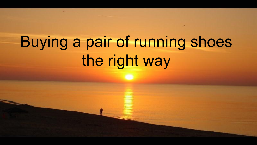# Buying a pair of running shoes the right way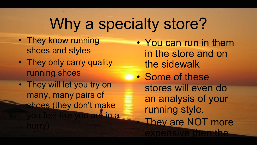### Why a specialty store?

- They know running shoes and styles
- They only carry quality running shoes
- They will let you try on many, many pairs of shoes (they don't make  $A$ in a
- You can run in them in the store and on the sidewalk
- Some of these stores will even do an analysis of your running style. They are NOT more expensive then the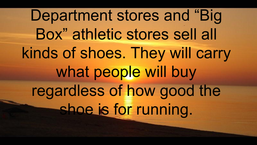Department stores and "Big Box" athletic stores sell all kinds of shoes. They will carry what people will buy regardless of how good the shoe is for running.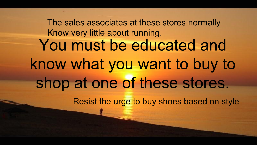You must be educated and know what you want to buy to shop at one of these stores. Resist the urge to buy shoes based on style The sales associates at these stores normally Know very little about running.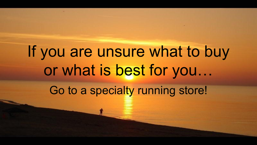# If you are unsure what to buy or what is best for you… Go to a specialty running store!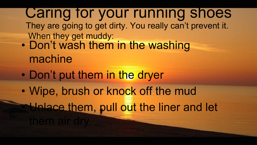Caring for your running shoes They are going to get dirty. You really can't prevent it. When they get muddy:

- Don't wash them in the washing machine
- Don't put them in the dryer
- Wipe, brush or knock off the mud

• Unlace them, pull out the liner and let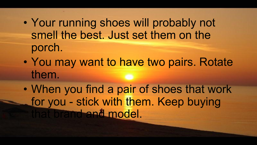- Your running shoes will probably not smell the best. Just set them on the porch.
- You may want to have two pairs. Rotate them.
- When you find a pair of shoes that work for you - stick with them. Keep buying that brand and model.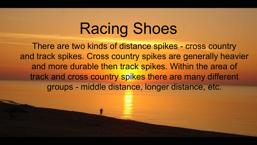#### Racing Shoes

There are two kinds of distance spikes - cross country and track spikes. Cross country spikes are generally heavier and more durable then track spikes. Within the area of track and cross country spikes there are many different groups - middle distance, longer distance, etc.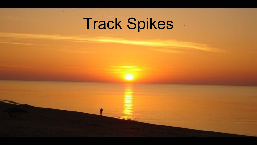## Track Spikes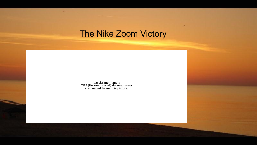#### The Nike Zoom Victory

QuickTime™ and a<br>TIFF (Uncompressed) decompressor<br>are needed to see this picture.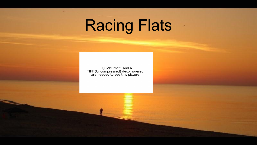## Racing Flats

QuickTime™ and a<br>TIFF (Uncompressed) decompressor<br>are needed to see this picture.